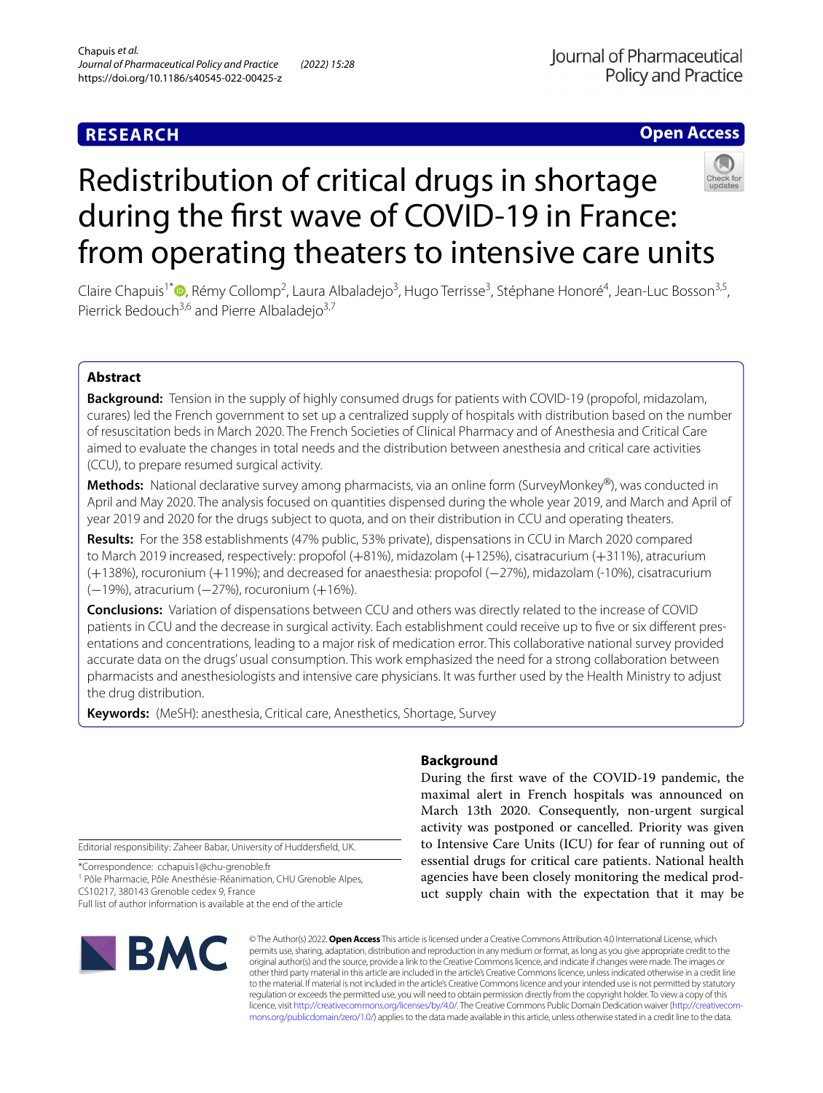# **RESEARCH**

# Journal of Pharmaceutical **Policy and Practice**

# **Open Access**



# Redistribution of critical drugs in shortage during the frst wave of COVID-19 in France: from operating theaters to intensive care units

Claire Chapuis<sup>1[\\*](http://orcid.org/0000-0002-0076-6335)</sup><sup>®</sup>, Rémy Collomp<sup>2</sup>, Laura Albaladejo<sup>3</sup>, Hugo Terrisse<sup>3</sup>, Stéphane Honoré<sup>4</sup>, Jean-Luc Bosson<sup>3,5</sup>, Pierrick Bedouch<sup>3,6</sup> and Pierre Albaladejo<sup>3,7</sup>

# **Abstract**

**Background:** Tension in the supply of highly consumed drugs for patients with COVID-19 (propofol, midazolam, curares) led the French government to set up a centralized supply of hospitals with distribution based on the number of resuscitation beds in March 2020. The French Societies of Clinical Pharmacy and of Anesthesia and Critical Care aimed to evaluate the changes in total needs and the distribution between anesthesia and critical care activities (CCU), to prepare resumed surgical activity.

**Methods:** National declarative survey among pharmacists, via an online form (SurveyMonkey®), was conducted in April and May 2020. The analysis focused on quantities dispensed during the whole year 2019, and March and April of year 2019 and 2020 for the drugs subject to quota, and on their distribution in CCU and operating theaters.

**Results:** For the 358 establishments (47% public, 53% private), dispensations in CCU in March 2020 compared to March 2019 increased, respectively: propofol (+81%), midazolam (+125%), cisatracurium (+311%), atracurium (+138%), rocuronium (+119%); and decreased for anaesthesia: propofol (−27%), midazolam (-10%), cisatracurium (−19%), atracurium (−27%), rocuronium (+16%).

**Conclusions:** Variation of dispensations between CCU and others was directly related to the increase of COVID patients in CCU and the decrease in surgical activity. Each establishment could receive up to five or six different presentations and concentrations, leading to a major risk of medication error. This collaborative national survey provided accurate data on the drugs' usual consumption. This work emphasized the need for a strong collaboration between pharmacists and anesthesiologists and intensive care physicians. It was further used by the Health Ministry to adjust the drug distribution.

**Keywords:** (MeSH): anesthesia, Critical care, Anesthetics, Shortage, Survey

Editorial responsibility: Zaheer Babar, University of Huddersfeld, UK.

\*Correspondence: cchapuis1@chu-grenoble.fr

<sup>1</sup> Pôle Pharmacie, Pôle Anesthésie-Réanimation, CHU Grenoble Alpes, CS10217, 380143 Grenoble cedex 9, France

Full list of author information is available at the end of the article



# **Background**

During the frst wave of the COVID-19 pandemic, the maximal alert in French hospitals was announced on March 13th 2020. Consequently, non-urgent surgical activity was postponed or cancelled. Priority was given to Intensive Care Units (ICU) for fear of running out of essential drugs for critical care patients. National health agencies have been closely monitoring the medical product supply chain with the expectation that it may be

© The Author(s) 2022. **Open Access** This article is licensed under a Creative Commons Attribution 4.0 International License, which permits use, sharing, adaptation, distribution and reproduction in any medium or format, as long as you give appropriate credit to the original author(s) and the source, provide a link to the Creative Commons licence, and indicate if changes were made. The images or other third party material in this article are included in the article's Creative Commons licence, unless indicated otherwise in a credit line to the material. If material is not included in the article's Creative Commons licence and your intended use is not permitted by statutory regulation or exceeds the permitted use, you will need to obtain permission directly from the copyright holder. To view a copy of this licence, visit [http://creativecommons.org/licenses/by/4.0/.](http://creativecommons.org/licenses/by/4.0/) The Creative Commons Public Domain Dedication waiver (http://creativecom[mons.org/publicdomain/zero/1.0/\)](http://creativecommons.org/publicdomain/zero/1.0/) applies to the data made available in this article, unless otherwise stated in a credit line to the data.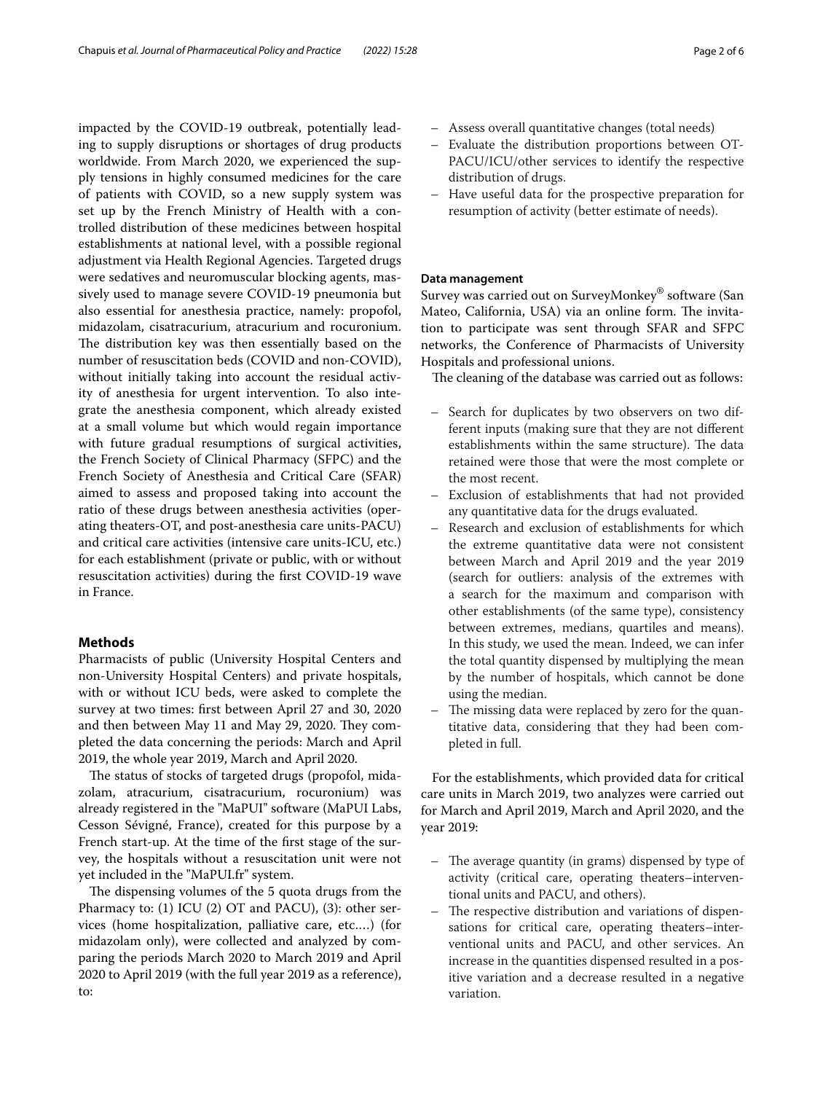impacted by the COVID-19 outbreak, potentially leading to supply disruptions or shortages of drug products worldwide. From March 2020, we experienced the supply tensions in highly consumed medicines for the care of patients with COVID, so a new supply system was set up by the French Ministry of Health with a controlled distribution of these medicines between hospital establishments at national level, with a possible regional adjustment via Health Regional Agencies. Targeted drugs were sedatives and neuromuscular blocking agents, massively used to manage severe COVID-19 pneumonia but also essential for anesthesia practice, namely: propofol, midazolam, cisatracurium, atracurium and rocuronium. The distribution key was then essentially based on the number of resuscitation beds (COVID and non-COVID), without initially taking into account the residual activity of anesthesia for urgent intervention. To also integrate the anesthesia component, which already existed at a small volume but which would regain importance with future gradual resumptions of surgical activities, the French Society of Clinical Pharmacy (SFPC) and the French Society of Anesthesia and Critical Care (SFAR) aimed to assess and proposed taking into account the ratio of these drugs between anesthesia activities (operating theaters-OT, and post-anesthesia care units-PACU) and critical care activities (intensive care units-ICU, etc.) for each establishment (private or public, with or without resuscitation activities) during the frst COVID-19 wave in France.

### **Methods**

Pharmacists of public (University Hospital Centers and non-University Hospital Centers) and private hospitals, with or without ICU beds, were asked to complete the survey at two times: frst between April 27 and 30, 2020 and then between May 11 and May 29, 2020. They completed the data concerning the periods: March and April 2019, the whole year 2019, March and April 2020.

The status of stocks of targeted drugs (propofol, midazolam, atracurium, cisatracurium, rocuronium) was already registered in the "MaPUI" software (MaPUI Labs, Cesson Sévigné, France), created for this purpose by a French start-up. At the time of the frst stage of the survey, the hospitals without a resuscitation unit were not yet included in the "MaPUI.fr" system.

The dispensing volumes of the 5 quota drugs from the Pharmacy to: (1) ICU (2) OT and PACU), (3): other services (home hospitalization, palliative care, etc.…) (for midazolam only), were collected and analyzed by comparing the periods March 2020 to March 2019 and April 2020 to April 2019 (with the full year 2019 as a reference), to:

- Assess overall quantitative changes (total needs)
- Evaluate the distribution proportions between OT-PACU/ICU/other services to identify the respective distribution of drugs.
- Have useful data for the prospective preparation for resumption of activity (better estimate of needs).

#### **Data management**

Survey was carried out on SurveyMonkey® software (San Mateo, California, USA) via an online form. The invitation to participate was sent through SFAR and SFPC networks, the Conference of Pharmacists of University Hospitals and professional unions.

The cleaning of the database was carried out as follows:

- Search for duplicates by two observers on two different inputs (making sure that they are not diferent establishments within the same structure). The data retained were those that were the most complete or the most recent.
- Exclusion of establishments that had not provided any quantitative data for the drugs evaluated.
- Research and exclusion of establishments for which the extreme quantitative data were not consistent between March and April 2019 and the year 2019 (search for outliers: analysis of the extremes with a search for the maximum and comparison with other establishments (of the same type), consistency between extremes, medians, quartiles and means). In this study, we used the mean. Indeed, we can infer the total quantity dispensed by multiplying the mean by the number of hospitals, which cannot be done using the median.
- The missing data were replaced by zero for the quantitative data, considering that they had been completed in full.

For the establishments, which provided data for critical care units in March 2019, two analyzes were carried out for March and April 2019, March and April 2020, and the year 2019:

- $-$  The average quantity (in grams) dispensed by type of activity (critical care, operating theaters–interventional units and PACU, and others).
- The respective distribution and variations of dispensations for critical care, operating theaters–interventional units and PACU, and other services. An increase in the quantities dispensed resulted in a positive variation and a decrease resulted in a negative variation.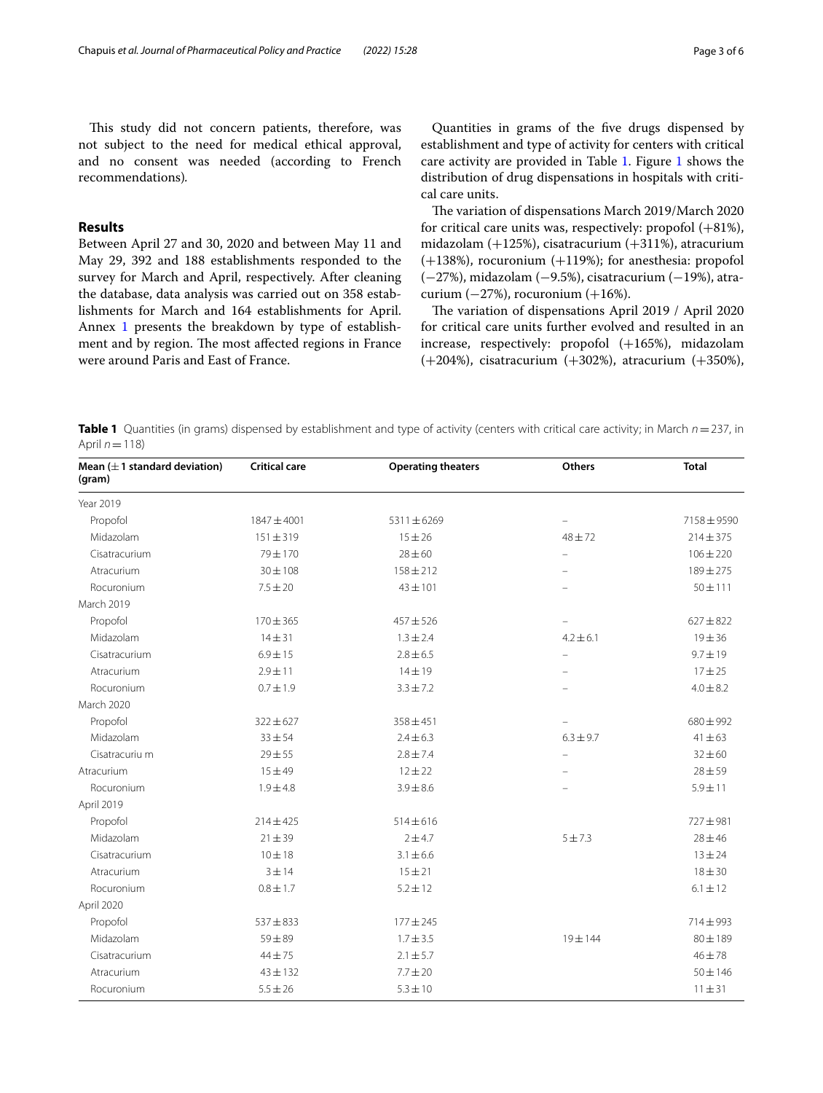This study did not concern patients, therefore, was not subject to the need for medical ethical approval, and no consent was needed (according to French recommendations)*.*

## **Results**

Between April 27 and 30, 2020 and between May 11 and May 29, 392 and 188 establishments responded to the survey for March and April, respectively. After cleaning the database, data analysis was carried out on 358 establishments for March and 164 establishments for April. Annex [1](#page-4-0) presents the breakdown by type of establishment and by region. The most affected regions in France were around Paris and East of France.

Quantities in grams of the fve drugs dispensed by establishment and type of activity for centers with critical care activity are provided in Table [1.](#page-2-0) Figure [1](#page-3-0) shows the distribution of drug dispensations in hospitals with critical care units.

The variation of dispensations March 2019/March 2020 for critical care units was, respectively: propofol  $(+81\%)$ , midazolam (+125%), cisatracurium (+311%), atracurium  $(+138%)$ , rocuronium  $(+119%)$ ; for anesthesia: propofol (−27%), midazolam (−9.5%), cisatracurium (−19%), atracurium  $(-27%)$ , rocuronium  $(+16%)$ .

The variation of dispensations April 2019 / April 2020 for critical care units further evolved and resulted in an increase, respectively: propofol (+165%), midazolam (+204%), cisatracurium (+302%), atracurium (+350%),

<span id="page-2-0"></span>**Table 1** Quantities (in grams) dispensed by establishment and type of activity (centers with critical care activity; in March *n*=237, in April  $n=118$ )

| Mean $(\pm 1$ standard deviation)<br>(gram) | <b>Critical care</b> | <b>Operating theaters</b> | <b>Others</b>            | <b>Total</b>  |
|---------------------------------------------|----------------------|---------------------------|--------------------------|---------------|
| Year 2019                                   |                      |                           |                          |               |
| Propofol                                    | 1847 ± 4001          | 5311±6269                 | $\qquad \qquad -$        | 7158±9590     |
| Midazolam                                   | $151 \pm 319$        | $15 + 26$                 | $48 + 72$                | $214 \pm 375$ |
| Cisatracurium                               | 79 ± 170             | $28 + 60$                 | $\overline{\phantom{0}}$ | $106 \pm 220$ |
| Atracurium                                  | $30 \pm 108$         | $158 \pm 212$             |                          | 189±275       |
| Rocuronium                                  | $7.5 \pm 20$         | $43 \pm 101$              |                          | $50 + 111$    |
| March 2019                                  |                      |                           |                          |               |
| Propofol                                    | $170 \pm 365$        | $457 + 526$               | $\overline{\phantom{0}}$ | $627 \pm 822$ |
| Midazolam                                   | $14 + 31$            | $1.3 \pm 2.4$             | $4.2 \pm 6.1$            | $19 + 36$     |
| Cisatracurium                               | $6.9 \pm 15$         | $2.8 \pm 6.5$             | $\equiv$                 | $9.7 \pm 19$  |
| Atracurium                                  | $2.9 \pm 11$         | $14 \pm 19$               |                          | $17 + 25$     |
| Rocuronium                                  | $0.7 \pm 1.9$        | $3.3 \pm 7.2$             |                          | $4.0 \pm 8.2$ |
| March 2020                                  |                      |                           |                          |               |
| Propofol                                    | $322 \pm 627$        | $358 + 451$               |                          | $680 \pm 992$ |
| Midazolam                                   | $33 + 54$            | $2.4 \pm 6.3$             | $6.3 \pm 9.7$            | $41 \pm 63$   |
| Cisatracuriu m                              | $29 + 55$            | $2.8 \pm 7.4$             |                          | $32 \pm 60$   |
| Atracurium                                  | $15 + 49$            | $12 + 22$                 | $\overline{\phantom{0}}$ | $28 + 59$     |
| Rocuronium                                  | $1.9 \pm 4.8$        | $3.9 \pm 8.6$             |                          | $5.9 + 11$    |
| April 2019                                  |                      |                           |                          |               |
| Propofol                                    | $214 \pm 425$        | $514 \pm 616$             |                          | 727±981       |
| Midazolam                                   | 21 ± 39              | $2 + 4.7$                 | $5 + 7.3$                | $28 \pm 46$   |
| Cisatracurium                               | 10 ± 18              | $3.1 \pm 6.6$             |                          | $13 + 24$     |
| Atracurium                                  | 3 ± 14               | $15 + 21$                 |                          | $18 + 30$     |
| Rocuronium                                  | $0.8 \pm 1.7$        | $5.2 \pm 12$              |                          | $6.1 \pm 12$  |
| April 2020                                  |                      |                           |                          |               |
| Propofol                                    | $537 + 833$          | $177 + 245$               |                          | 714±993       |
| Midazolam                                   | $59 + 89$            | $1.7 \pm 3.5$             | $19 + 144$               | $80 + 189$    |
| Cisatracurium                               | $44 + 75$            | $2.1 \pm 5.7$             |                          | $46 + 78$     |
| Atracurium                                  | $43 + 132$           | $7.7 \pm 20$              |                          | $50 \pm 146$  |
| Rocuronium                                  | $5.5 \pm 26$         | $5.3 \pm 10$              |                          | $11 + 31$     |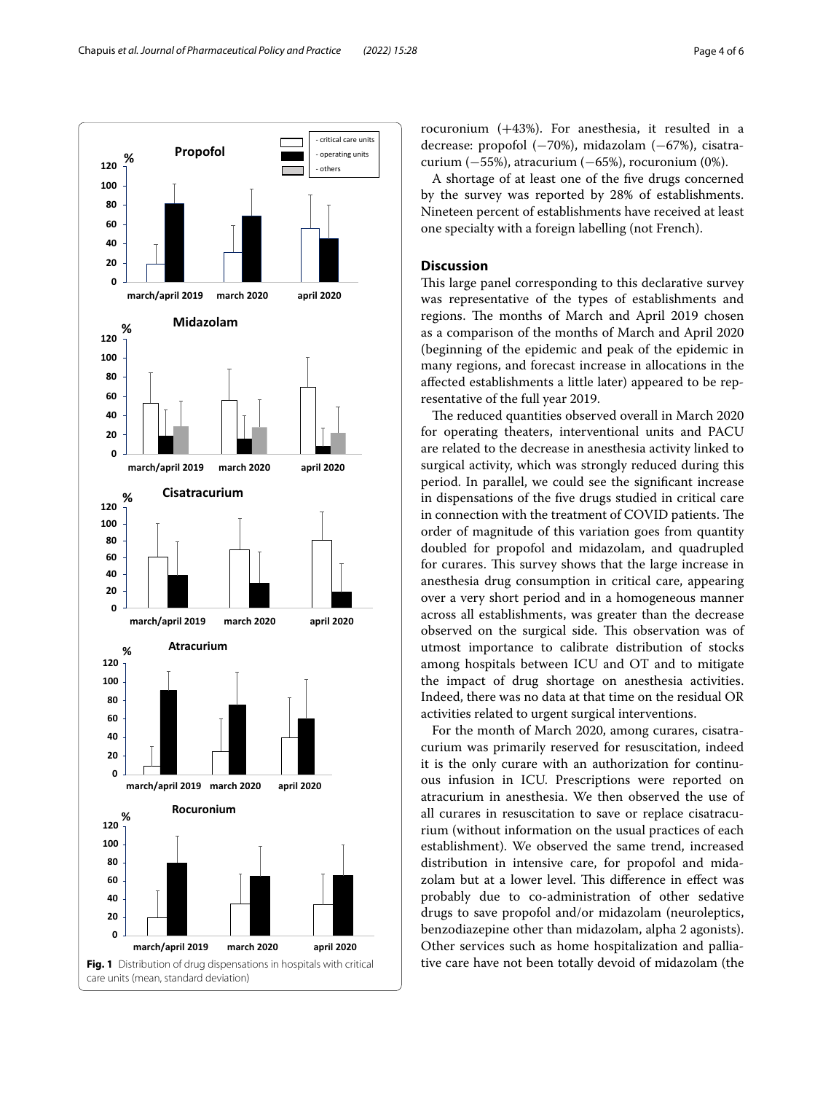

rocuronium (+43%). For anesthesia, it resulted in a decrease: propofol (−70%), midazolam (−67%), cisatracurium  $(-55%)$ , atracurium  $(-65%)$ , rocuronium  $(0%)$ .

A shortage of at least one of the fve drugs concerned by the survey was reported by 28% of establishments. Nineteen percent of establishments have received at least one specialty with a foreign labelling (not French).

## **Discussion**

This large panel corresponding to this declarative survey was representative of the types of establishments and regions. The months of March and April 2019 chosen as a comparison of the months of March and April 2020 (beginning of the epidemic and peak of the epidemic in many regions, and forecast increase in allocations in the afected establishments a little later) appeared to be representative of the full year 2019.

The reduced quantities observed overall in March 2020 for operating theaters, interventional units and PACU are related to the decrease in anesthesia activity linked to surgical activity, which was strongly reduced during this period. In parallel, we could see the signifcant increase in dispensations of the fve drugs studied in critical care in connection with the treatment of COVID patients. The order of magnitude of this variation goes from quantity doubled for propofol and midazolam, and quadrupled for curares. This survey shows that the large increase in anesthesia drug consumption in critical care, appearing over a very short period and in a homogeneous manner across all establishments, was greater than the decrease observed on the surgical side. This observation was of utmost importance to calibrate distribution of stocks among hospitals between ICU and OT and to mitigate the impact of drug shortage on anesthesia activities. Indeed, there was no data at that time on the residual OR activities related to urgent surgical interventions.

<span id="page-3-0"></span>For the month of March 2020, among curares, cisatracurium was primarily reserved for resuscitation, indeed it is the only curare with an authorization for continuous infusion in ICU. Prescriptions were reported on atracurium in anesthesia. We then observed the use of all curares in resuscitation to save or replace cisatracurium (without information on the usual practices of each establishment). We observed the same trend, increased distribution in intensive care, for propofol and midazolam but at a lower level. This difference in effect was probably due to co-administration of other sedative drugs to save propofol and/or midazolam (neuroleptics, benzodiazepine other than midazolam, alpha 2 agonists). Other services such as home hospitalization and palliative care have not been totally devoid of midazolam (the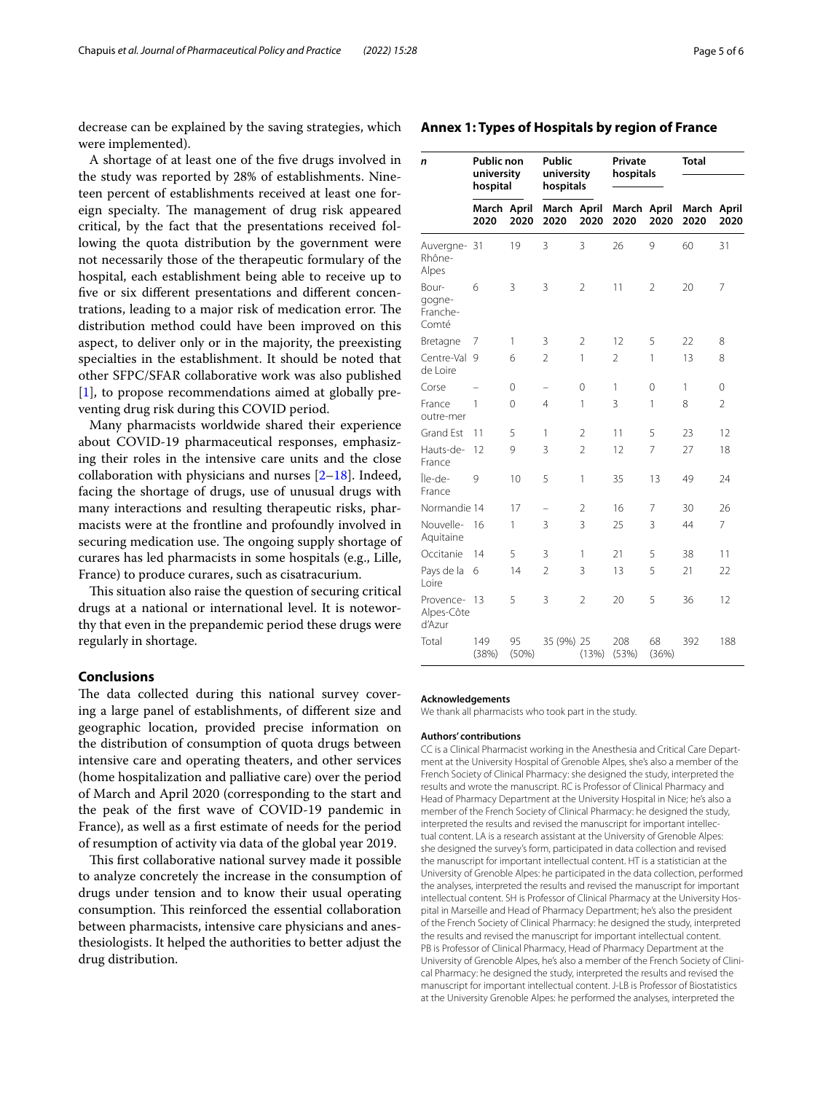decrease can be explained by the saving strategies, which were implemented).

A shortage of at least one of the fve drugs involved in the study was reported by 28% of establishments. Nineteen percent of establishments received at least one foreign specialty. The management of drug risk appeared critical, by the fact that the presentations received following the quota distribution by the government were not necessarily those of the therapeutic formulary of the hospital, each establishment being able to receive up to five or six different presentations and different concentrations, leading to a major risk of medication error. The distribution method could have been improved on this aspect, to deliver only or in the majority, the preexisting specialties in the establishment. It should be noted that other SFPC/SFAR collaborative work was also published [[1\]](#page-5-0), to propose recommendations aimed at globally preventing drug risk during this COVID period.

Many pharmacists worldwide shared their experience about COVID-19 pharmaceutical responses, emphasizing their roles in the intensive care units and the close collaboration with physicians and nurses  $[2-18]$  $[2-18]$ . Indeed, facing the shortage of drugs, use of unusual drugs with many interactions and resulting therapeutic risks, pharmacists were at the frontline and profoundly involved in securing medication use. The ongoing supply shortage of curares has led pharmacists in some hospitals (e.g., Lille, France) to produce curares, such as cisatracurium.

This situation also raise the question of securing critical drugs at a national or international level. It is noteworthy that even in the prepandemic period these drugs were regularly in shortage.

#### **Conclusions**

The data collected during this national survey covering a large panel of establishments, of diferent size and geographic location, provided precise information on the distribution of consumption of quota drugs between intensive care and operating theaters, and other services (home hospitalization and palliative care) over the period of March and April 2020 (corresponding to the start and the peak of the frst wave of COVID-19 pandemic in France), as well as a frst estimate of needs for the period of resumption of activity via data of the global year 2019.

This first collaborative national survey made it possible to analyze concretely the increase in the consumption of drugs under tension and to know their usual operating consumption. This reinforced the essential collaboration between pharmacists, intensive care physicians and anesthesiologists. It helped the authorities to better adjust the drug distribution.

<span id="page-4-0"></span>

| Annex 1: Types of Hospitals by region of France |  |
|-------------------------------------------------|--|
|-------------------------------------------------|--|

| n                                    | <b>Public non</b><br>university<br>hospital |             | <b>Public</b><br>university<br>hospitals |                | Private<br>hospitals |                | <b>Total</b>        |                |
|--------------------------------------|---------------------------------------------|-------------|------------------------------------------|----------------|----------------------|----------------|---------------------|----------------|
|                                      | March April<br>2020                         | 2020        | March April<br>2020                      | 2020           | March<br>2020        | April<br>2020  | March April<br>2020 | 2020           |
| Auvergne- 31<br>Rhône-<br>Alpes      |                                             | 19          | 3                                        | 3              | 26                   | 9              | 60                  | 31             |
| Bour-<br>gogne-<br>Franche-<br>Comté | 6                                           | 3           | 3                                        | $\overline{2}$ | 11                   | $\overline{2}$ | 20                  | 7              |
| Bretagne                             | 7                                           | 1           | 3                                        | $\overline{2}$ | 12                   | 5              | 22                  | 8              |
| Centre-Val<br>de Loire               | $\mathsf{Q}$                                | 6           | $\overline{2}$                           | 1              | $\overline{2}$       | 1              | 13                  | 8              |
| Corse                                |                                             | 0           | -                                        | 0              | 1                    | 0              | 1                   | 0              |
| France<br>outre-mer                  | 1                                           | 0           | 4                                        | 1              | 3                    | 1              | 8                   | $\overline{2}$ |
| Grand Est                            | 11                                          | 5           | 1                                        | $\overline{2}$ | 11                   | 5              | 23                  | 12             |
| Hauts-de-<br>France                  | 12                                          | 9           | 3                                        | $\overline{2}$ | 12                   | 7              | 27                  | 18             |
| Île-de-<br>France                    | 9                                           | 10          | 5                                        | 1              | 35                   | 13             | 49                  | 24             |
| Normandie 14                         |                                             | 17          | -                                        | $\overline{2}$ | 16                   | 7              | 30                  | 26             |
| Nouvelle-<br>Aquitaine               | 16                                          | 1           | 3                                        | 3              | 25                   | 3              | 44                  | $\overline{7}$ |
| Occitanie                            | 14                                          | 5           | 3                                        | 1              | 21                   | 5              | 38                  | 11             |
| Pays de la<br>Loire                  | 6                                           | 14          | $\overline{2}$                           | 3              | 13                   | 5              | 21                  | 22             |
| Provence- 13<br>Alpes-Côte<br>d'Azur |                                             | 5           | 3                                        | $\overline{2}$ | 20                   | 5              | 36                  | 12             |
| Total                                | 149<br>(38%)                                | 95<br>(50%) | 35 (9%) 25                               | (13%)          | 208<br>(53%)         | 68<br>(36%)    | 392                 | 188            |

#### **Acknowledgements**

We thank all pharmacists who took part in the study.

#### **Authors' contributions**

CC is a Clinical Pharmacist working in the Anesthesia and Critical Care Department at the University Hospital of Grenoble Alpes, she's also a member of the French Society of Clinical Pharmacy: she designed the study, interpreted the results and wrote the manuscript. RC is Professor of Clinical Pharmacy and Head of Pharmacy Department at the University Hospital in Nice; he's also a member of the French Society of Clinical Pharmacy: he designed the study, interpreted the results and revised the manuscript for important intellectual content. LA is a research assistant at the University of Grenoble Alpes: she designed the survey's form, participated in data collection and revised the manuscript for important intellectual content. HT is a statistician at the University of Grenoble Alpes: he participated in the data collection, performed the analyses, interpreted the results and revised the manuscript for important intellectual content. SH is Professor of Clinical Pharmacy at the University Hospital in Marseille and Head of Pharmacy Department; he's also the president of the French Society of Clinical Pharmacy: he designed the study, interpreted the results and revised the manuscript for important intellectual content. PB is Professor of Clinical Pharmacy, Head of Pharmacy Department at the University of Grenoble Alpes, he's also a member of the French Society of Clini‑ cal Pharmacy: he designed the study, interpreted the results and revised the manuscript for important intellectual content. J-LB is Professor of Biostatistics at the University Grenoble Alpes: he performed the analyses, interpreted the